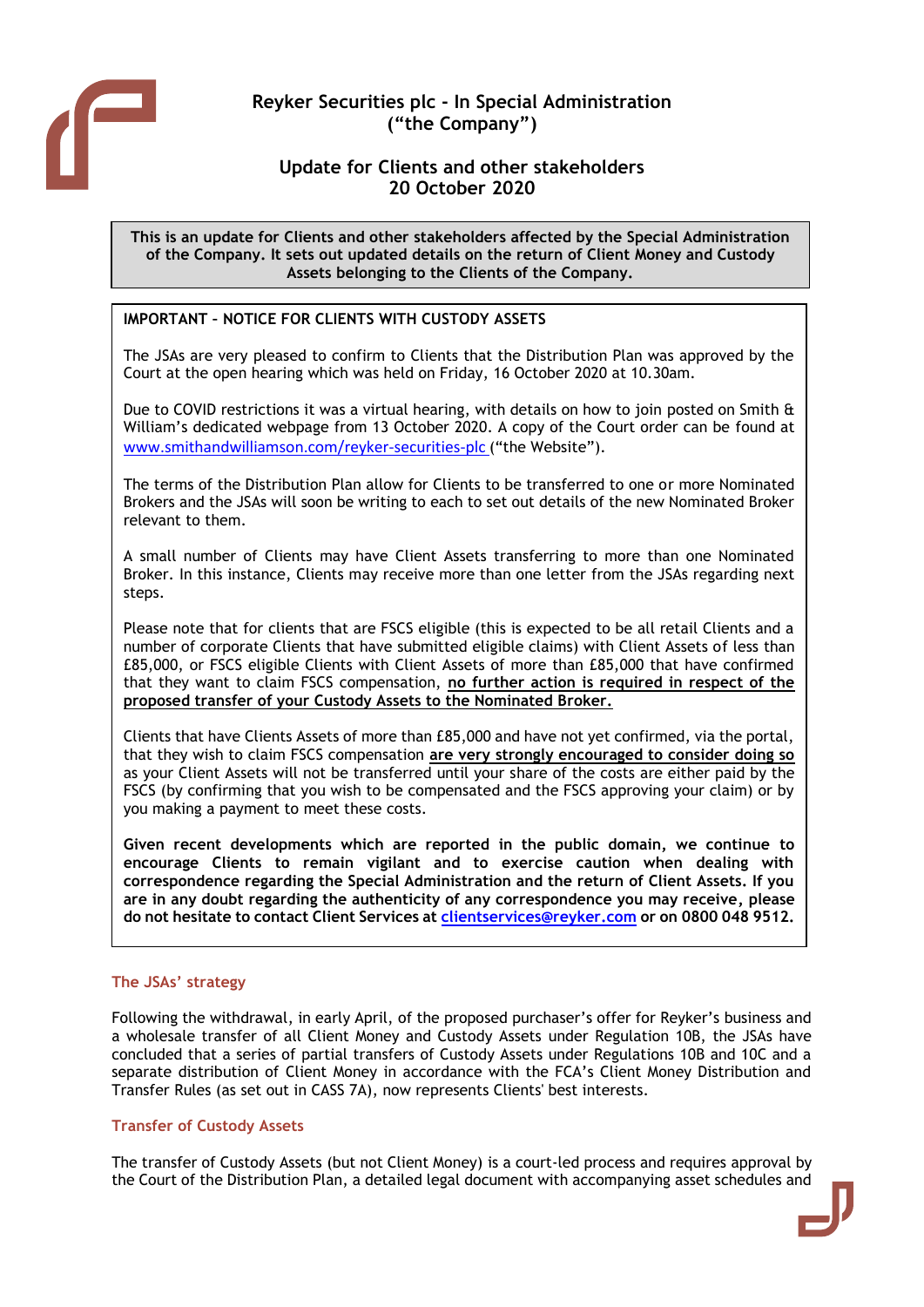

# **Reyker Securities plc - In Special Administration ("the Company")**

## **Update for Clients and other stakeholders 20 October 2020**

**This is an update for Clients and other stakeholders affected by the Special Administration of the Company. It sets out updated details on the return of Client Money and Custody Assets belonging to the Clients of the Company.**

## **IMPORTANT – NOTICE FOR CLIENTS WITH CUSTODY ASSETS**

The JSAs are very pleased to confirm to Clients that the Distribution Plan was approved by the Court at the open hearing which was held on Friday, 16 October 2020 at 10.30am.

Due to COVID restrictions it was a virtual hearing, with details on how to join posted on Smith & William's dedicated webpage from 13 October 2020. A copy of the Court order can be found at [www.smithandwilliamson.com/reyker-securities-plc](http://www.smithandwilliamson.com/reyker-securities-plc) ("the Website").

The terms of the Distribution Plan allow for Clients to be transferred to one or more Nominated Brokers and the JSAs will soon be writing to each to set out details of the new Nominated Broker relevant to them.

A small number of Clients may have Client Assets transferring to more than one Nominated Broker. In this instance, Clients may receive more than one letter from the JSAs regarding next steps.

Please note that for clients that are FSCS eligible (this is expected to be all retail Clients and a number of corporate Clients that have submitted eligible claims) with Client Assets of less than £85,000, or FSCS eligible Clients with Client Assets of more than £85,000 that have confirmed that they want to claim FSCS compensation, **no further action is required in respect of the proposed transfer of your Custody Assets to the Nominated Broker.**

Clients that have Clients Assets of more than £85,000 and have not yet confirmed, via the portal, that they wish to claim FSCS compensation **are very strongly encouraged to consider doing so** as your Client Assets will not be transferred until your share of the costs are either paid by the FSCS (by confirming that you wish to be compensated and the FSCS approving your claim) or by you making a payment to meet these costs.

**Given recent developments which are reported in the public domain, we continue to encourage Clients to remain vigilant and to exercise caution when dealing with correspondence regarding the Special Administration and the return of Client Assets. If you are in any doubt regarding the authenticity of any correspondence you may receive, please do not hesitate to contact Client Services at [clientservices@reyker.com](mailto:clientservices@reyker.com) or on 0800 048 9512.** 

## **The JSAs' strategy**

Following the withdrawal, in early April, of the proposed purchaser's offer for Reyker's business and a wholesale transfer of all Client Money and Custody Assets under Regulation 10B, the JSAs have concluded that a series of partial transfers of Custody Assets under Regulations 10B and 10C and a separate distribution of Client Money in accordance with the FCA's Client Money Distribution and Transfer Rules (as set out in CASS 7A), now represents Clients' best interests.

## **Transfer of Custody Assets**

The transfer of Custody Assets (but not Client Money) is a court-led process and requires approval by the Court of the Distribution Plan, a detailed legal document with accompanying asset schedules and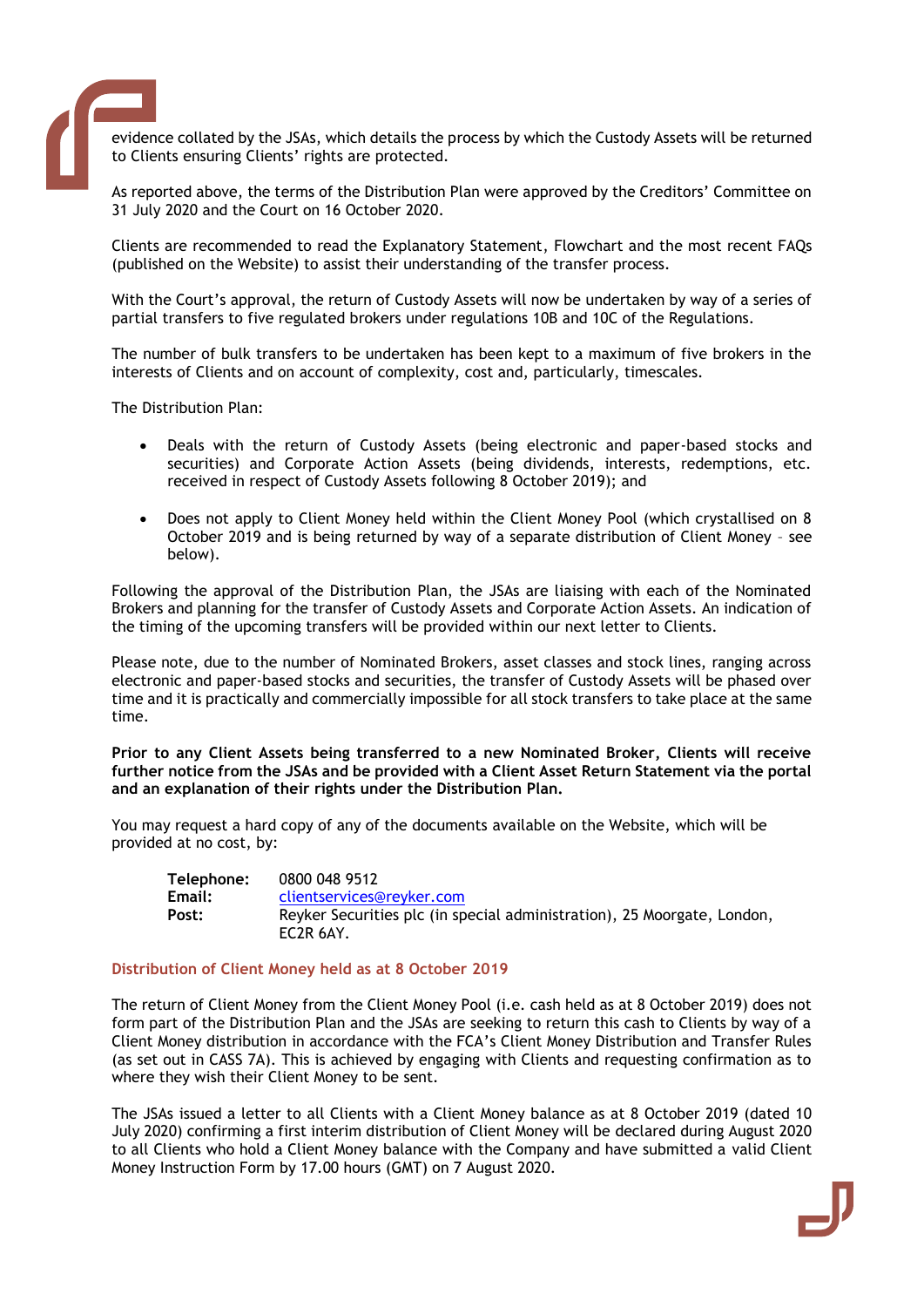

evidence collated by the JSAs, which details the process by which the Custody Assets will be returned to Clients ensuring Clients' rights are protected.

As reported above, the terms of the Distribution Plan were approved by the Creditors' Committee on 31 July 2020 and the Court on 16 October 2020.

Clients are recommended to read the Explanatory Statement, Flowchart and the most recent FAQs (published on the Website) to assist their understanding of the transfer process.

With the Court's approval, the return of Custody Assets will now be undertaken by way of a series of partial transfers to five regulated brokers under regulations 10B and 10C of the Regulations.

The number of bulk transfers to be undertaken has been kept to a maximum of five brokers in the interests of Clients and on account of complexity, cost and, particularly, timescales.

The Distribution Plan:

- Deals with the return of Custody Assets (being electronic and paper-based stocks and securities) and Corporate Action Assets (being dividends, interests, redemptions, etc. received in respect of Custody Assets following 8 October 2019); and
- Does not apply to Client Money held within the Client Money Pool (which crystallised on 8 October 2019 and is being returned by way of a separate distribution of Client Money – see below).

Following the approval of the Distribution Plan, the JSAs are liaising with each of the Nominated Brokers and planning for the transfer of Custody Assets and Corporate Action Assets. An indication of the timing of the upcoming transfers will be provided within our next letter to Clients.

Please note, due to the number of Nominated Brokers, asset classes and stock lines, ranging across electronic and paper-based stocks and securities, the transfer of Custody Assets will be phased over time and it is practically and commercially impossible for all stock transfers to take place at the same time.

**Prior to any Client Assets being transferred to a new Nominated Broker, Clients will receive further notice from the JSAs and be provided with a Client Asset Return Statement via the portal and an explanation of their rights under the Distribution Plan.** 

You may request a hard copy of any of the documents available on the Website, which will be provided at no cost, by:

| Telephone: | 0800 048 9512                                                                        |
|------------|--------------------------------------------------------------------------------------|
| Email:     | clientservices@reyker.com                                                            |
| Post:      | Reyker Securities plc (in special administration), 25 Moorgate, London,<br>EC2R 6AY. |

#### **Distribution of Client Money held as at 8 October 2019**

The return of Client Money from the Client Money Pool (i.e. cash held as at 8 October 2019) does not form part of the Distribution Plan and the JSAs are seeking to return this cash to Clients by way of a Client Money distribution in accordance with the FCA's Client Money Distribution and Transfer Rules (as set out in CASS 7A). This is achieved by engaging with Clients and requesting confirmation as to where they wish their Client Money to be sent.

The JSAs issued a letter to all Clients with a Client Money balance as at 8 October 2019 (dated 10 July 2020) confirming a first interim distribution of Client Money will be declared during August 2020 to all Clients who hold a Client Money balance with the Company and have submitted a valid Client Money Instruction Form by 17.00 hours (GMT) on 7 August 2020.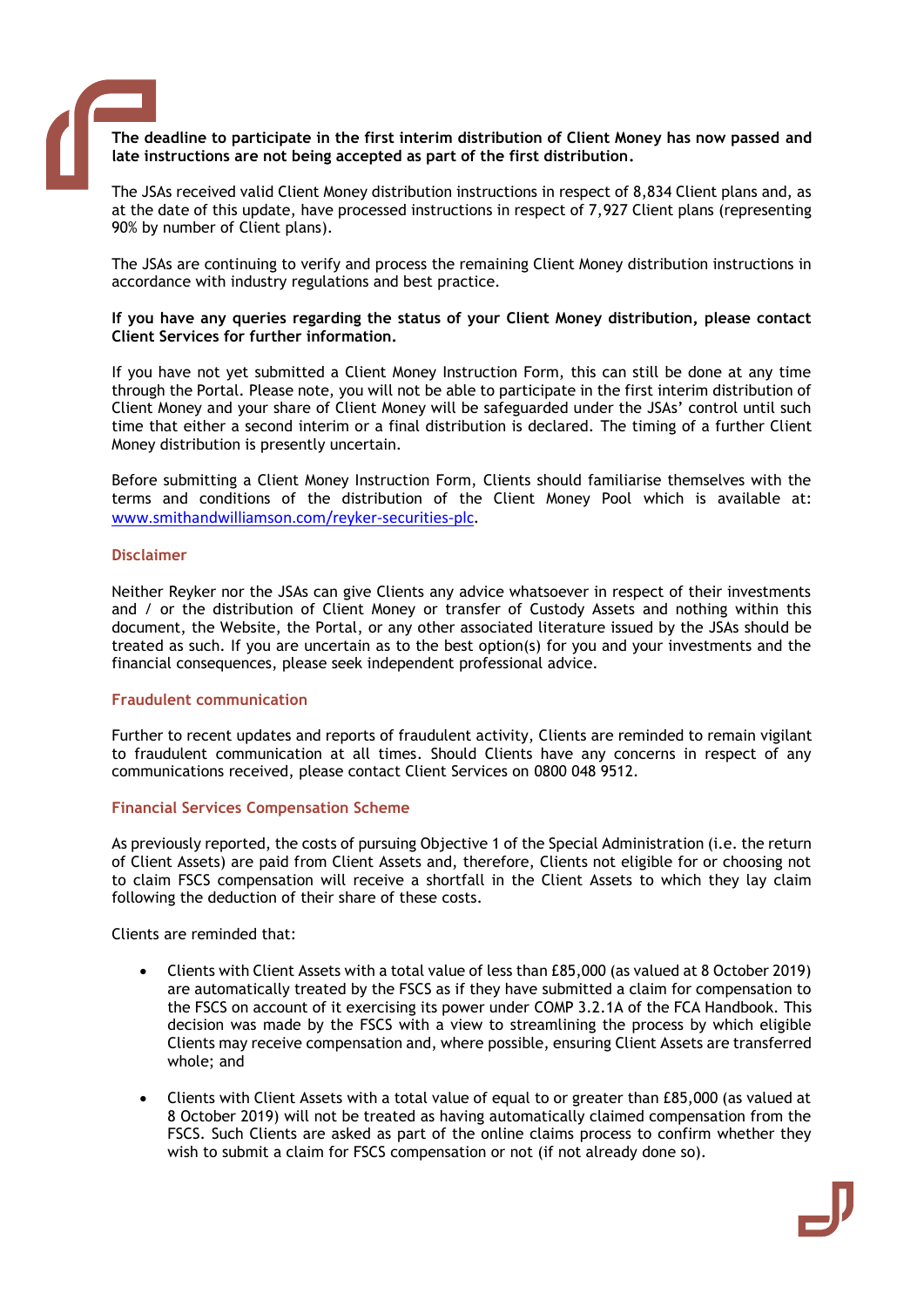

### **The deadline to participate in the first interim distribution of Client Money has now passed and late instructions are not being accepted as part of the first distribution.**

The JSAs received valid Client Money distribution instructions in respect of 8,834 Client plans and, as at the date of this update, have processed instructions in respect of 7,927 Client plans (representing 90% by number of Client plans).

The JSAs are continuing to verify and process the remaining Client Money distribution instructions in accordance with industry regulations and best practice.

#### **If you have any queries regarding the status of your Client Money distribution, please contact Client Services for further information.**

If you have not yet submitted a Client Money Instruction Form, this can still be done at any time through the Portal. Please note, you will not be able to participate in the first interim distribution of Client Money and your share of Client Money will be safeguarded under the JSAs' control until such time that either a second interim or a final distribution is declared. The timing of a further Client Money distribution is presently uncertain.

Before submitting a Client Money Instruction Form, Clients should familiarise themselves with the terms and conditions of the distribution of the Client Money Pool which is available at: [www.smithandwilliamson.com/reyker-securities-plc](http://www.smithandwilliamson.com/reyker-securities-plc).

#### **Disclaimer**

Neither Reyker nor the JSAs can give Clients any advice whatsoever in respect of their investments and / or the distribution of Client Money or transfer of Custody Assets and nothing within this document, the Website, the Portal, or any other associated literature issued by the JSAs should be treated as such. If you are uncertain as to the best option(s) for you and your investments and the financial consequences, please seek independent professional advice.

#### **Fraudulent communication**

Further to recent updates and reports of fraudulent activity, Clients are reminded to remain vigilant to fraudulent communication at all times. Should Clients have any concerns in respect of any communications received, please contact Client Services on 0800 048 9512.

## **Financial Services Compensation Scheme**

As previously reported, the costs of pursuing Objective 1 of the Special Administration (i.e. the return of Client Assets) are paid from Client Assets and, therefore, Clients not eligible for or choosing not to claim FSCS compensation will receive a shortfall in the Client Assets to which they lay claim following the deduction of their share of these costs.

Clients are reminded that:

- Clients with Client Assets with a total value of less than £85,000 (as valued at 8 October 2019) are automatically treated by the FSCS as if they have submitted a claim for compensation to the FSCS on account of it exercising its power under [COMP 3.2.1A](https://protect-eu.mimecast.com/s/fmpACkRrrsq5wr9U2f2Nn?domain=handbook.fca.org.uk) of the FCA Handbook. This decision was made by the FSCS with a view to streamlining the process by which eligible Clients may receive compensation and, where possible, ensuring Client Assets are transferred whole; and
- Clients with Client Assets with a total value of equal to or greater than £85,000 (as valued at 8 October 2019) will not be treated as having automatically claimed compensation from the FSCS. Such Clients are asked as part of the online claims process to confirm whether they wish to submit a claim for FSCS compensation or not (if not already done so).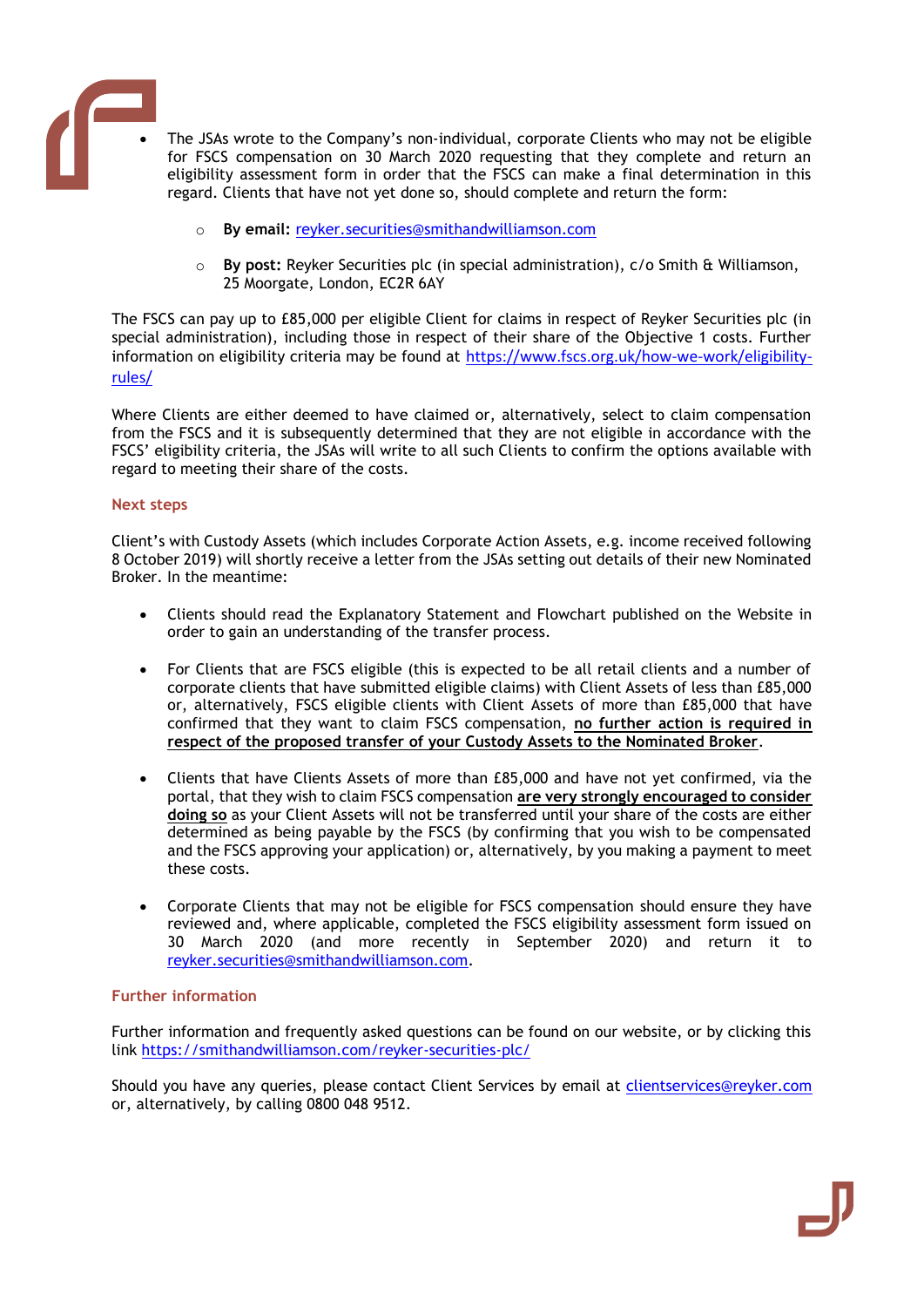

- The JSAs wrote to the Company's non-individual, corporate Clients who may not be eligible for FSCS compensation on 30 March 2020 requesting that they complete and return an eligibility assessment form in order that the FSCS can make a final determination in this regard. Clients that have not yet done so, should complete and return the form:
	- o **By email:** [reyker.securities@smithandwilliamson.com](mailto:reyker.securities@smithandwilliamson.com)
	- o **By post:** Reyker Securities plc (in special administration), c/o Smith & Williamson, 25 Moorgate, London, EC2R 6AY

The FSCS can pay up to £85,000 per eligible Client for claims in respect of Reyker Securities plc (in special administration), including those in respect of their share of the Objective 1 costs. Further information on eligibility criteria may be found at [https://www.fscs.org.uk/how-we-work/eligibility](https://www.fscs.org.uk/how-we-work/eligibility-rules/)[rules/](https://www.fscs.org.uk/how-we-work/eligibility-rules/)

Where Clients are either deemed to have claimed or, alternatively, select to claim compensation from the FSCS and it is subsequently determined that they are not eligible in accordance with the FSCS' eligibility criteria, the JSAs will write to all such Clients to confirm the options available with regard to meeting their share of the costs.

#### **Next steps**

Client's with Custody Assets (which includes Corporate Action Assets, e.g. income received following 8 October 2019) will shortly receive a letter from the JSAs setting out details of their new Nominated Broker. In the meantime:

- Clients should read the Explanatory Statement and Flowchart published on the Website in order to gain an understanding of the transfer process.
- For Clients that are FSCS eligible (this is expected to be all retail clients and a number of corporate clients that have submitted eligible claims) with Client Assets of less than £85,000 or, alternatively, FSCS eligible clients with Client Assets of more than £85,000 that have confirmed that they want to claim FSCS compensation, **no further action is required in respect of the proposed transfer of your Custody Assets to the Nominated Broker**.
- Clients that have Clients Assets of more than £85,000 and have not yet confirmed, via the portal, that they wish to claim FSCS compensation **are very strongly encouraged to consider doing so** as your Client Assets will not be transferred until your share of the costs are either determined as being payable by the FSCS (by confirming that you wish to be compensated and the FSCS approving your application) or, alternatively, by you making a payment to meet these costs.
- Corporate Clients that may not be eligible for FSCS compensation should ensure they have reviewed and, where applicable, completed the FSCS eligibility assessment form issued on 30 March 2020 (and more recently in September 2020) and return it to [reyker.securities@smithandwilliamson.com.](mailto:reyker.securities@smithandwilliamson.com)

## **Further information**

Further information and frequently asked questions can be found on our website, or by clicking this link <https://smithandwilliamson.com/reyker-securities-plc/>

Should you have any queries, please contact Client Services by email at [clientservices@reyker.com](mailto:clientservices@reyker.com) or, alternatively, by calling 0800 048 9512.